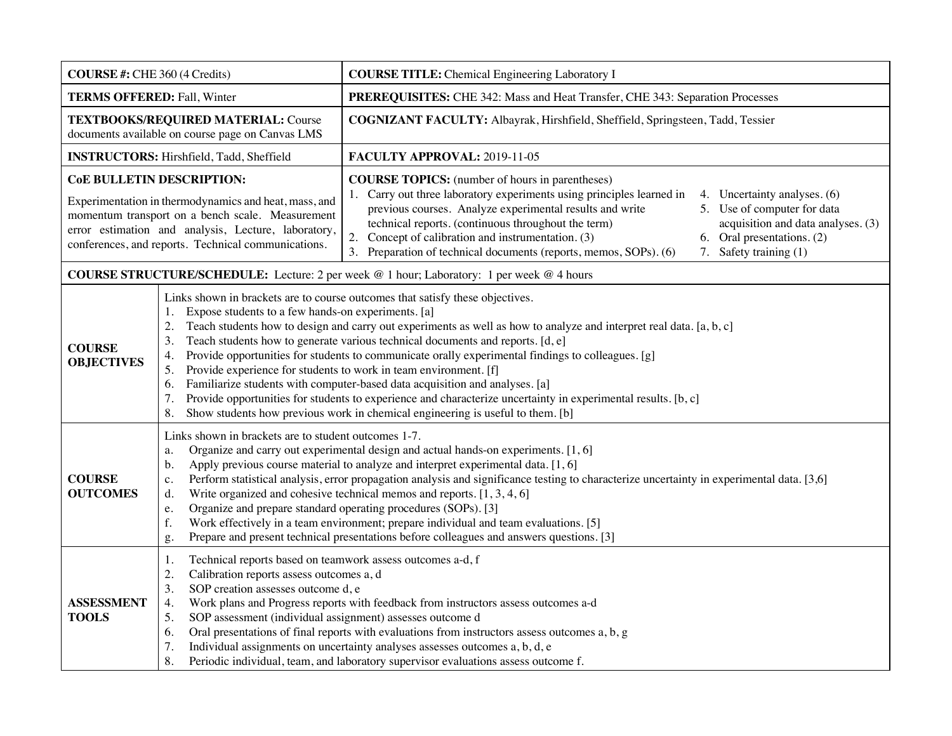| <b>COURSE #: CHE 360 (4 Credits)</b>                                                                                                                                                                                                                 |                                                                                                                                                                                                                                                                                                                                                                                                                                                                                                                                                                                                                                                                                                                                                                                                                                                         | <b>COURSE TITLE:</b> Chemical Engineering Laboratory I                                                                                                                                                                                                                                                                                                                                                                                                                                                                                        |  |  |
|------------------------------------------------------------------------------------------------------------------------------------------------------------------------------------------------------------------------------------------------------|---------------------------------------------------------------------------------------------------------------------------------------------------------------------------------------------------------------------------------------------------------------------------------------------------------------------------------------------------------------------------------------------------------------------------------------------------------------------------------------------------------------------------------------------------------------------------------------------------------------------------------------------------------------------------------------------------------------------------------------------------------------------------------------------------------------------------------------------------------|-----------------------------------------------------------------------------------------------------------------------------------------------------------------------------------------------------------------------------------------------------------------------------------------------------------------------------------------------------------------------------------------------------------------------------------------------------------------------------------------------------------------------------------------------|--|--|
| <b>TERMS OFFERED: Fall, Winter</b>                                                                                                                                                                                                                   |                                                                                                                                                                                                                                                                                                                                                                                                                                                                                                                                                                                                                                                                                                                                                                                                                                                         | PREREQUISITES: CHE 342: Mass and Heat Transfer, CHE 343: Separation Processes                                                                                                                                                                                                                                                                                                                                                                                                                                                                 |  |  |
| TEXTBOOKS/REQUIRED MATERIAL: Course<br>documents available on course page on Canvas LMS                                                                                                                                                              |                                                                                                                                                                                                                                                                                                                                                                                                                                                                                                                                                                                                                                                                                                                                                                                                                                                         | COGNIZANT FACULTY: Albayrak, Hirshfield, Sheffield, Springsteen, Tadd, Tessier                                                                                                                                                                                                                                                                                                                                                                                                                                                                |  |  |
| <b>INSTRUCTORS:</b> Hirshfield, Tadd, Sheffield                                                                                                                                                                                                      |                                                                                                                                                                                                                                                                                                                                                                                                                                                                                                                                                                                                                                                                                                                                                                                                                                                         | FACULTY APPROVAL: 2019-11-05                                                                                                                                                                                                                                                                                                                                                                                                                                                                                                                  |  |  |
| CoE BULLETIN DESCRIPTION:<br>Experimentation in thermodynamics and heat, mass, and<br>momentum transport on a bench scale. Measurement<br>error estimation and analysis, Lecture, laboratory,<br>conferences, and reports. Technical communications. |                                                                                                                                                                                                                                                                                                                                                                                                                                                                                                                                                                                                                                                                                                                                                                                                                                                         | <b>COURSE TOPICS:</b> (number of hours in parentheses)<br>1. Carry out three laboratory experiments using principles learned in<br>4. Uncertainty analyses. (6)<br>previous courses. Analyze experimental results and write<br>5. Use of computer for data<br>technical reports. (continuous throughout the term)<br>acquisition and data analyses. (3)<br>2.<br>Concept of calibration and instrumentation. (3)<br>6. Oral presentations. (2)<br>7. Safety training (1)<br>3. Preparation of technical documents (reports, memos, SOPs). (6) |  |  |
| <b>COURSE STRUCTURE/SCHEDULE:</b> Lecture: 2 per week $@1$ hour; Laboratory: 1 per week $@4$ hours                                                                                                                                                   |                                                                                                                                                                                                                                                                                                                                                                                                                                                                                                                                                                                                                                                                                                                                                                                                                                                         |                                                                                                                                                                                                                                                                                                                                                                                                                                                                                                                                               |  |  |
| <b>COURSE</b><br><b>OBJECTIVES</b>                                                                                                                                                                                                                   | Links shown in brackets are to course outcomes that satisfy these objectives.<br>Expose students to a few hands-on experiments. [a]<br>1.<br>Teach students how to design and carry out experiments as well as how to analyze and interpret real data. [a, b, c]<br>2.<br>Teach students how to generate various technical documents and reports. [d, e]<br>3.<br>Provide opportunities for students to communicate orally experimental findings to colleagues. [g]<br>4.<br>Provide experience for students to work in team environment. [f]<br>5.<br>Familiarize students with computer-based data acquisition and analyses. [a]<br>6.<br>Provide opportunities for students to experience and characterize uncertainty in experimental results. [b, c]<br>7.<br>Show students how previous work in chemical engineering is useful to them. [b]<br>8. |                                                                                                                                                                                                                                                                                                                                                                                                                                                                                                                                               |  |  |
| <b>COURSE</b><br><b>OUTCOMES</b>                                                                                                                                                                                                                     | Links shown in brackets are to student outcomes 1-7.<br>Organize and carry out experimental design and actual hands-on experiments. [1, 6]<br>a.<br>Apply previous course material to analyze and interpret experimental data. [1, 6]<br>$\mathbf b$ .<br>Perform statistical analysis, error propagation analysis and significance testing to characterize uncertainty in experimental data. [3,6]<br>c.<br>Write organized and cohesive technical memos and reports. $[1, 3, 4, 6]$<br>d.<br>Organize and prepare standard operating procedures (SOPs). [3]<br>e.<br>Work effectively in a team environment; prepare individual and team evaluations. [5]<br>f.<br>Prepare and present technical presentations before colleagues and answers questions. [3]<br>g.                                                                                     |                                                                                                                                                                                                                                                                                                                                                                                                                                                                                                                                               |  |  |
| <b>ASSESSMENT</b><br><b>TOOLS</b>                                                                                                                                                                                                                    | Technical reports based on teamwork assess outcomes a-d, f<br>1.<br>2.<br>Calibration reports assess outcomes a, d<br>3.<br>SOP creation assesses outcome d, e<br>4.<br>SOP assessment (individual assignment) assesses outcome d<br>5.<br>6.<br>7.<br>8.                                                                                                                                                                                                                                                                                                                                                                                                                                                                                                                                                                                               | Work plans and Progress reports with feedback from instructors assess outcomes a-d<br>Oral presentations of final reports with evaluations from instructors assess outcomes a, b, g<br>Individual assignments on uncertainty analyses assesses outcomes a, b, d, e<br>Periodic individual, team, and laboratory supervisor evaluations assess outcome f.                                                                                                                                                                                      |  |  |